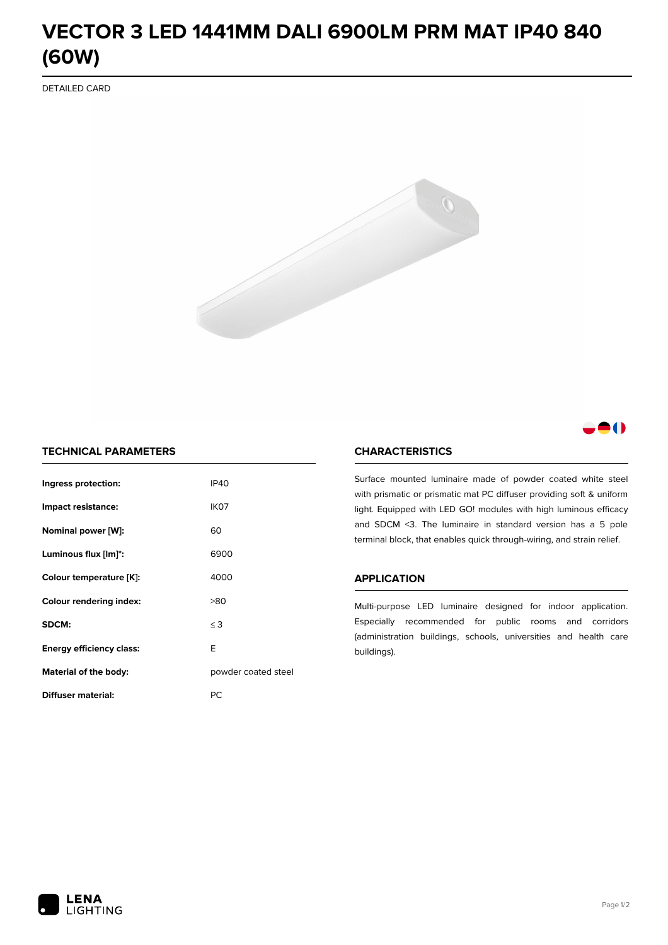# **VECTOR 3 LED 1441MM DALI 6900LM PRM MAT IP40 840 (60W)**

DETAILED CARD



# 80

# **TECHNICAL PARAMETERS**

| Ingress protection:             | <b>IP40</b>         |  |
|---------------------------------|---------------------|--|
| Impact resistance:              | IK <sub>07</sub>    |  |
| Nominal power [W]:              | 60                  |  |
| Luminous flux [lm]*:            | 6900                |  |
| Colour temperature [K]:         | 4000                |  |
| <b>Colour rendering index:</b>  | >80                 |  |
| SDCM:                           | $\leq$ 3            |  |
| <b>Energy efficiency class:</b> | E                   |  |
| Material of the body:           | powder coated steel |  |
| Diffuser material:              | РC                  |  |

### **CHARACTERISTICS**

Surface mounted luminaire made of powder coated white steel with prismatic or prismatic mat PC diffuser providing soft & uniform light. Equipped with LED GO! modules with high luminous efficacy and SDCM <3. The luminaire in standard version has a 5 pole terminal block, that enables quick through-wiring, and strain relief.

#### **APPLICATION**

Multi-purpose LED luminaire designed for indoor application. Especially recommended for public rooms and corridors (administration buildings, schools, universities and health care buildings).